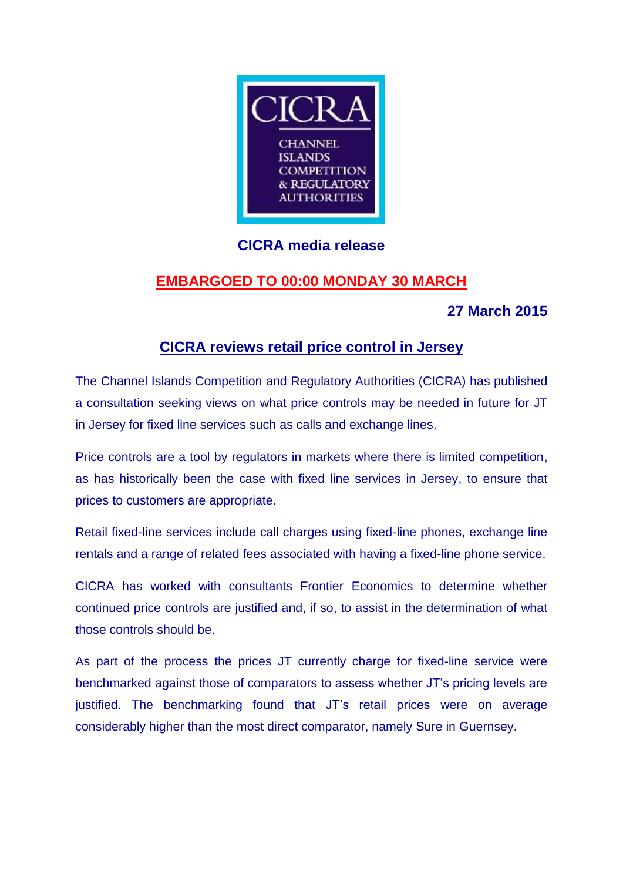

## **CICRA media release**

# **EMBARGOED TO 00:00 MONDAY 30 MARCH**

### **27 March 2015**

### **CICRA reviews retail price control in Jersey**

The Channel Islands Competition and Regulatory Authorities (CICRA) has published a consultation seeking views on what price controls may be needed in future for JT in Jersey for fixed line services such as calls and exchange lines.

Price controls are a tool by regulators in markets where there is limited competition, as has historically been the case with fixed line services in Jersey, to ensure that prices to customers are appropriate.

Retail fixed-line services include call charges using fixed-line phones, exchange line rentals and a range of related fees associated with having a fixed-line phone service.

CICRA has worked with consultants Frontier Economics to determine whether continued price controls are justified and, if so, to assist in the determination of what those controls should be.

As part of the process the prices JT currently charge for fixed-line service were benchmarked against those of comparators to assess whether JT's pricing levels are justified. The benchmarking found that JT's retail prices were on average considerably higher than the most direct comparator, namely Sure in Guernsey.